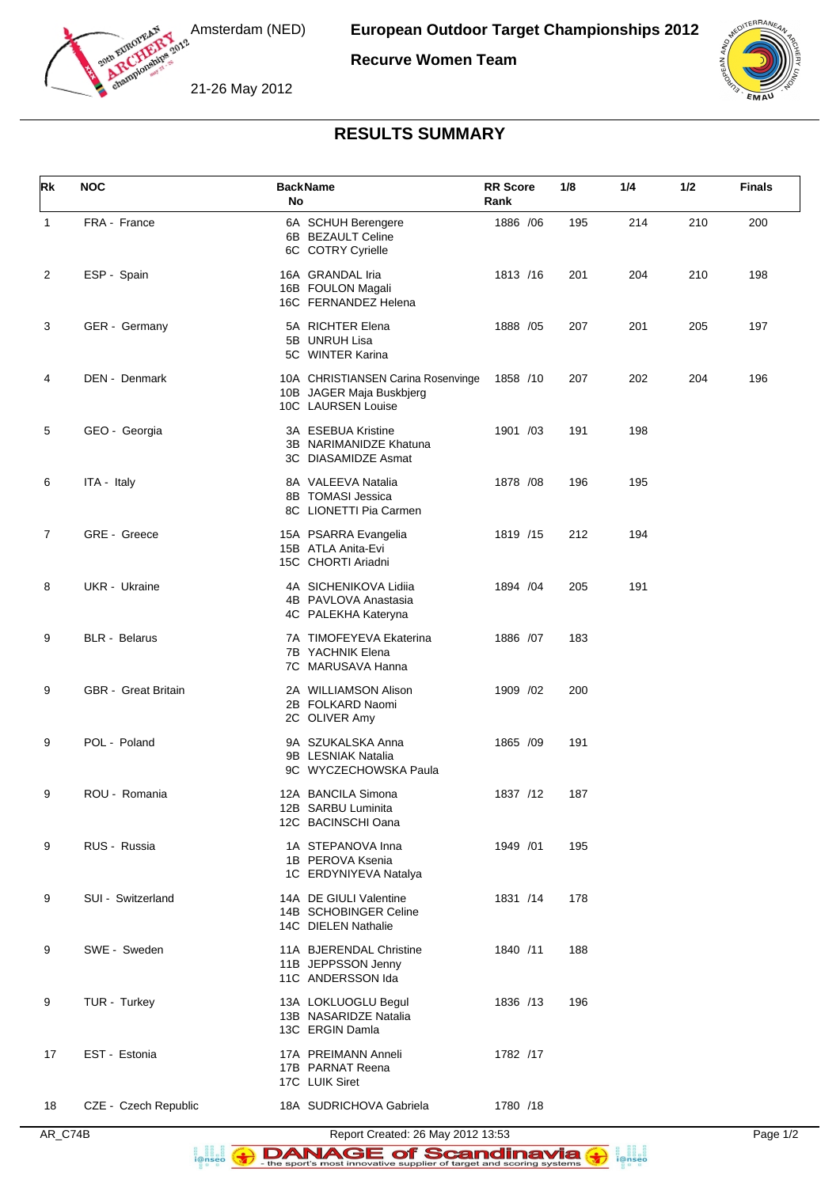

Amsterdam (NED)

**Recurve Women Team**





## **RESULTS SUMMARY**

| <b>Rk</b>      | <b>NOC</b>                 | <b>BackName</b><br>No                                                                | <b>RR Score</b><br>Rank | 1/8 | 1/4 | 1/2 | <b>Finals</b> |
|----------------|----------------------------|--------------------------------------------------------------------------------------|-------------------------|-----|-----|-----|---------------|
| $\mathbf{1}$   | FRA - France               | 6A SCHUH Berengere<br>6B BEZAULT Celine<br>6C COTRY Cyrielle                         | 1886 / 06               | 195 | 214 | 210 | 200           |
| 2              | ESP - Spain                | 16A GRANDAL Iria<br>16B FOULON Magali<br>16C FERNANDEZ Helena                        | 1813 /16                | 201 | 204 | 210 | 198           |
| 3              | GER - Germany              | 5A RICHTER Elena<br>5B UNRUH Lisa<br>5C WINTER Karina                                | 1888 / 05               | 207 | 201 | 205 | 197           |
| 4              | DEN - Denmark              | 10A CHRISTIANSEN Carina Rosenvinge<br>10B JAGER Maja Buskbjerg<br>10C LAURSEN Louise | 1858 /10                | 207 | 202 | 204 | 196           |
| 5              | GEO - Georgia              | 3A ESEBUA Kristine<br>3B NARIMANIDZE Khatuna<br>3C DIASAMIDZE Asmat                  | 1901 /03                | 191 | 198 |     |               |
| 6              | ITA - Italy                | 8A VALEEVA Natalia<br>8B TOMASI Jessica<br>8C LIONETTI Pia Carmen                    | 1878 / 08               | 196 | 195 |     |               |
| $\overline{7}$ | GRE - Greece               | 15A PSARRA Evangelia<br>15B ATLA Anita-Evi<br>15C CHORTI Ariadni                     | 1819 /15                | 212 | 194 |     |               |
| 8              | UKR - Ukraine              | 4A SICHENIKOVA Lidiia<br>4B PAVLOVA Anastasia<br>4C PALEKHA Kateryna                 | 1894 / 04               | 205 | 191 |     |               |
| 9              | <b>BLR</b> - Belarus       | 7A TIMOFEYEVA Ekaterina<br>7B YACHNIK Elena<br>7C MARUSAVA Hanna                     | 1886 /07                | 183 |     |     |               |
| 9              | <b>GBR</b> - Great Britain | 2A WILLIAMSON Alison<br>2B FOLKARD Naomi<br>2C OLIVER Amy                            | 1909 /02                | 200 |     |     |               |
| 9              | POL - Poland               | 9A SZUKALSKA Anna<br>9B LESNIAK Natalia<br>9C WYCZECHOWSKA Paula                     | 1865 /09                | 191 |     |     |               |
| 9              | ROU - Romania              | 12A BANCILA Simona<br>12B SARBU Luminita<br>12C BACINSCHI Oana                       | 1837 /12                | 187 |     |     |               |
| 9              | RUS - Russia               | 1A STEPANOVA Inna<br>1B PEROVA Ksenia<br>1C ERDYNIYEVA Natalya                       | 1949 /01                | 195 |     |     |               |
| 9              | SUI - Switzerland          | 14A DE GIULI Valentine<br>14B SCHOBINGER Celine<br>14C DIELEN Nathalie               | 1831 /14                | 178 |     |     |               |
| 9              | SWE - Sweden               | 11A BJERENDAL Christine<br>11B JEPPSSON Jenny<br>11C ANDERSSON Ida                   | 1840 /11                | 188 |     |     |               |
| 9              | TUR - Turkey               | 13A LOKLUOGLU Begul<br>13B NASARIDZE Natalia<br>13C ERGIN Damla                      | 1836 /13                | 196 |     |     |               |
| 17             | EST - Estonia              | 17A PREIMANN Anneli<br>17B PARNAT Reena<br>17C LUIK Siret                            | 1782 /17                |     |     |     |               |
| 18             | CZE - Czech Republic       | 18A SUDRICHOVA Gabriela                                                              | 1780 /18                |     |     |     |               |

Report Created: 26 May 2012 13:53<br>Page 1/2<br>Report Scandinavia (1)<br>the sport's most innovative supplier of target and scoring systems<br> $\bullet$ **B**<br>**i@nseo**